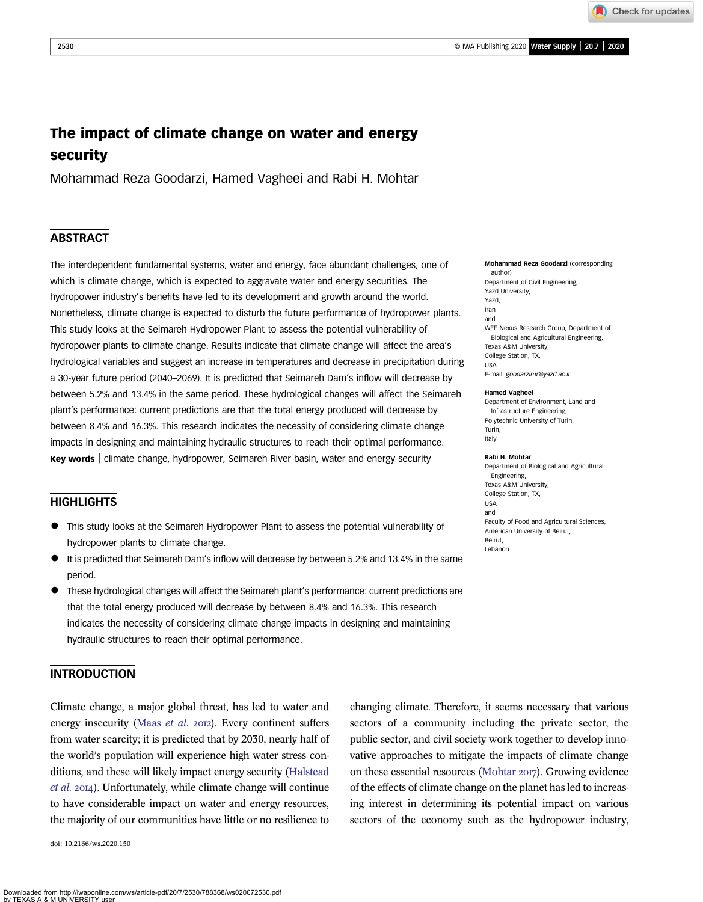Check for updates

# The impact of climate change on water and energy security

Mohammad Reza Goodarzi, Hamed Vagheei and Rabi H. Mohtar

# **ABSTRACT**

The interdependent fundamental systems, water and energy, face abundant challenges, one of which is climate change, which is expected to aggravate water and energy securities. The hydropower industry's benefits have led to its development and growth around the world. Nonetheless, climate change is expected to disturb the future performance of hydropower plants. This study looks at the Seimareh Hydropower Plant to assess the potential vulnerability of hydropower plants to climate change. Results indicate that climate change will affect the area's hydrological variables and suggest an increase in temperatures and decrease in precipitation during a 30-year future period (2040–2069). It is predicted that Seimareh Dam's inflow will decrease by between 5.2% and 13.4% in the same period. These hydrological changes will affect the Seimareh plant's performance: current predictions are that the total energy produced will decrease by between 8.4% and 16.3%. This research indicates the necessity of considering climate change impacts in designing and maintaining hydraulic structures to reach their optimal performance. Key words | climate change, hydropower, Seimareh River basin, water and energy security

# **HIGHLIGHTS**

- This study looks at the Seimareh Hydropower Plant to assess the potential vulnerability of hydropower plants to climate change.
- It is predicted that Seimareh Dam's inflow will decrease by between 5.2% and 13.4% in the same period.
- These hydrological changes will affect the Seimareh plant's performance: current predictions are that the total energy produced will decrease by between 8.4% and 16.3%. This research indicates the necessity of considering climate change impacts in designing and maintaining hydraulic structures to reach their optimal performance.

# INTRODUCTION

Climate change, a major global threat, has led to water and energy insecurity (Maas et al. 2012). Every continent suffers from water scarcity; it is predicted that by 2030, nearly half of the world's population will experience high water stress conditions, and these will likely impact energy security (Halstead et al. 2014). Unfortunately, while climate change will continue to have considerable impact on water and energy resources, the majority of our communities have little or no resilience to

doi: 10.2166/ws.2020.150

Mohammad Reza Goodarzi (corresponding author) Department of Civil Engineering, Yazd University, Yazd, Iran and WEF Nexus Research Group, Department of Biological and Agricultural Engineering, Texas A&M University, College Station, TX, USA E-mail: goodarzimr@yazd.ac.ir

#### Hamed Vagheei

Department of Environment, Land and Infrastructure Engineering, Polytechnic University of Turin, Turin, Italy

#### Rabi H. Mohtar

Department of Biological and Agricultural Engineering, Texas A&M University, College Station, TX, USA and Faculty of Food and Agricultural Sciences, American University of Beirut, Beirut, Lebanon

changing climate. Therefore, it seems necessary that various sectors of a community including the private sector, the public sector, and civil society work together to develop innovative approaches to mitigate the impacts of climate change on these essential resources (Mohtar 2017). Growing evidence of the effects of climate change on the planet has led to increasing interest in determining its potential impact on various sectors of the economy such as the hydropower industry,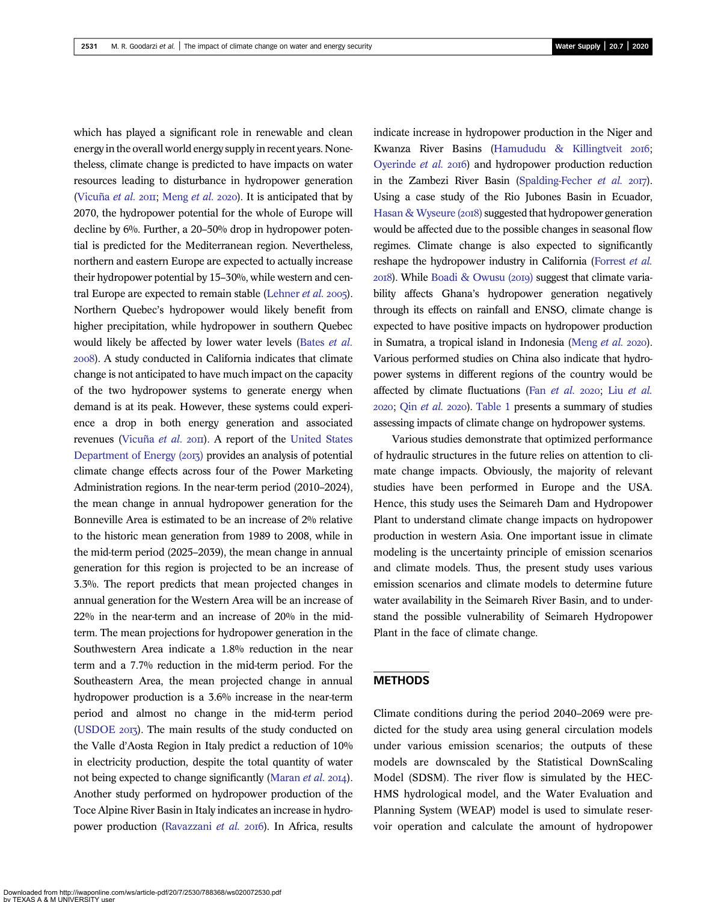which has played a significant role in renewable and clean energy in the overall world energy supply in recent years. Nonetheless, climate change is predicted to have impacts on water resources leading to disturbance in hydropower generation (Vicuña et al. 2011; Meng et al. 2020). It is anticipated that by 2070, the hydropower potential for the whole of Europe will decline by 6%. Further, a 20–50% drop in hydropower potential is predicted for the Mediterranean region. Nevertheless, northern and eastern Europe are expected to actually increase their hydropower potential by 15–30%, while western and central Europe are expected to remain stable (Lehner et al.  $2005$ ). Northern Quebec's hydropower would likely benefit from higher precipitation, while hydropower in southern Quebec would likely be affected by lower water levels (Bates et al. ). A study conducted in California indicates that climate change is not anticipated to have much impact on the capacity of the two hydropower systems to generate energy when demand is at its peak. However, these systems could experience a drop in both energy generation and associated revenues (Vicuña et al. 2011). A report of the United States Department of Energy (2013) provides an analysis of potential climate change effects across four of the Power Marketing Administration regions. In the near-term period (2010–2024), the mean change in annual hydropower generation for the Bonneville Area is estimated to be an increase of 2% relative to the historic mean generation from 1989 to 2008, while in the mid-term period (2025–2039), the mean change in annual generation for this region is projected to be an increase of 3.3%. The report predicts that mean projected changes in annual generation for the Western Area will be an increase of 22% in the near-term and an increase of 20% in the midterm. The mean projections for hydropower generation in the Southwestern Area indicate a 1.8% reduction in the near term and a 7.7% reduction in the mid-term period. For the Southeastern Area, the mean projected change in annual hydropower production is a 3.6% increase in the near-term period and almost no change in the mid-term period (USDOE 2013). The main results of the study conducted on the Valle d'Aosta Region in Italy predict a reduction of 10% in electricity production, despite the total quantity of water not being expected to change significantly (Maran *et al.* 2014). Another study performed on hydropower production of the Toce Alpine River Basin in Italy indicates an increase in hydropower production (Ravazzani et al. 2016). In Africa, results

indicate increase in hydropower production in the Niger and Kwanza River Basins (Hamududu & Killingtveit 2016; Oyerinde et al. 2016) and hydropower production reduction in the Zambezi River Basin (Spalding-Fecher et al.  $2017$ ). Using a case study of the Rio Jubones Basin in Ecuador, Hasan & Wyseure (2018) suggested that hydropower generation would be affected due to the possible changes in seasonal flow regimes. Climate change is also expected to significantly reshape the hydropower industry in California (Forrest et al.  $2018$ ). While Boadi & Owusu ( $2019$ ) suggest that climate variability affects Ghana's hydropower generation negatively through its effects on rainfall and ENSO, climate change is expected to have positive impacts on hydropower production in Sumatra, a tropical island in Indonesia (Meng  $et$   $al.$  2020). Various performed studies on China also indicate that hydropower systems in different regions of the country would be affected by climate fluctuations (Fan et al. 2020; Liu et al. 2020; Qin et al. 2020). Table 1 presents a summary of studies assessing impacts of climate change on hydropower systems.

Various studies demonstrate that optimized performance of hydraulic structures in the future relies on attention to climate change impacts. Obviously, the majority of relevant studies have been performed in Europe and the USA. Hence, this study uses the Seimareh Dam and Hydropower Plant to understand climate change impacts on hydropower production in western Asia. One important issue in climate modeling is the uncertainty principle of emission scenarios and climate models. Thus, the present study uses various emission scenarios and climate models to determine future water availability in the Seimareh River Basin, and to understand the possible vulnerability of Seimareh Hydropower Plant in the face of climate change.

#### METHODS

Climate conditions during the period 2040–2069 were predicted for the study area using general circulation models under various emission scenarios; the outputs of these models are downscaled by the Statistical DownScaling Model (SDSM). The river flow is simulated by the HEC-HMS hydrological model, and the Water Evaluation and Planning System (WEAP) model is used to simulate reservoir operation and calculate the amount of hydropower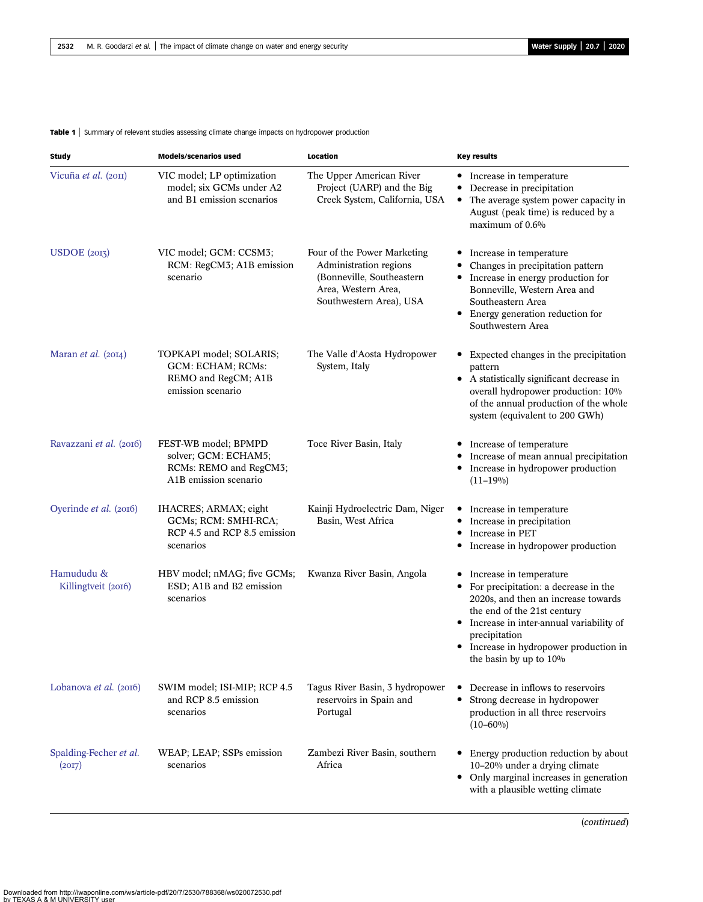Table 1 | Summary of relevant studies assessing climate change impacts on hydropower production

| <b>Study</b>                      | <b>Models/scenarios used</b>                                                                    | Location                                                                                                                             | <b>Key results</b>                                                                                                                                                                                                                                                           |
|-----------------------------------|-------------------------------------------------------------------------------------------------|--------------------------------------------------------------------------------------------------------------------------------------|------------------------------------------------------------------------------------------------------------------------------------------------------------------------------------------------------------------------------------------------------------------------------|
| Vicuña et al. (2011)              | VIC model; LP optimization<br>model; six GCMs under A2<br>and B1 emission scenarios             | The Upper American River<br>Project (UARP) and the Big<br>Creek System, California, USA                                              | • Increase in temperature<br>Decrease in precipitation<br>٠<br>The average system power capacity in<br>٠<br>August (peak time) is reduced by a<br>maximum of 0.6%                                                                                                            |
| USDOE (2013)                      | VIC model; GCM: CCSM3;<br>RCM: RegCM3; A1B emission<br>scenario                                 | Four of the Power Marketing<br>Administration regions<br>(Bonneville, Southeastern<br>Area, Western Area,<br>Southwestern Area), USA | • Increase in temperature<br>Changes in precipitation pattern<br>Increase in energy production for<br>$\bullet$<br>Bonneville, Western Area and<br>Southeastern Area<br>• Energy generation reduction for<br>Southwestern Area                                               |
| Maran <i>et al.</i> $(2014)$      | TOPKAPI model; SOLARIS;<br>GCM: ECHAM; RCMs:<br>REMO and RegCM; A1B<br>emission scenario        | The Valle d'Aosta Hydropower<br>System, Italy                                                                                        | • Expected changes in the precipitation<br>pattern<br>• A statistically significant decrease in<br>overall hydropower production: 10%<br>of the annual production of the whole<br>system (equivalent to 200 GWh)                                                             |
| Ravazzani et al. (2016)           | FEST-WB model; BPMPD<br>solver; GCM: ECHAM5;<br>RCMs: REMO and RegCM3;<br>A1B emission scenario | Toce River Basin, Italy                                                                                                              | Increase of temperature<br>Increase of mean annual precipitation<br>Increase in hydropower production<br>٠<br>$(11-19\%)$                                                                                                                                                    |
| Oyerinde et al. (2016)            | IHACRES; ARMAX; eight<br>GCMs; RCM: SMHI-RCA;<br>RCP 4.5 and RCP 8.5 emission<br>scenarios      | Kainji Hydroelectric Dam, Niger<br>Basin, West Africa                                                                                | Increase in temperature<br>٠<br>Increase in precipitation<br>Increase in PET<br>٠<br>Increase in hydropower production                                                                                                                                                       |
| Hamududu &<br>Killingtveit (2016) | HBV model; nMAG; five GCMs;<br>ESD; A1B and B2 emission<br>scenarios                            | Kwanza River Basin, Angola                                                                                                           | Increase in temperature<br>٠<br>For precipitation: a decrease in the<br>2020s, and then an increase towards<br>the end of the 21st century<br>• Increase in inter-annual variability of<br>precipitation<br>• Increase in hydropower production in<br>the basin by up to 10% |
| Lobanova et al. (2016)            | SWIM model; ISI-MIP; RCP 4.5<br>and RCP 8.5 emission<br>scenarios                               | Tagus River Basin, 3 hydropower<br>reservoirs in Spain and<br>Portugal                                                               | Decrease in inflows to reservoirs<br>Strong decrease in hydropower<br>٠<br>production in all three reservoirs<br>$(10 - 60\%)$                                                                                                                                               |
| Spalding-Fecher et al.<br>(20I7)  | WEAP; LEAP; SSPs emission<br>scenarios                                                          | Zambezi River Basin, southern<br>Africa                                                                                              | Energy production reduction by about<br>10-20% under a drying climate<br>• Only marginal increases in generation<br>with a plausible wetting climate                                                                                                                         |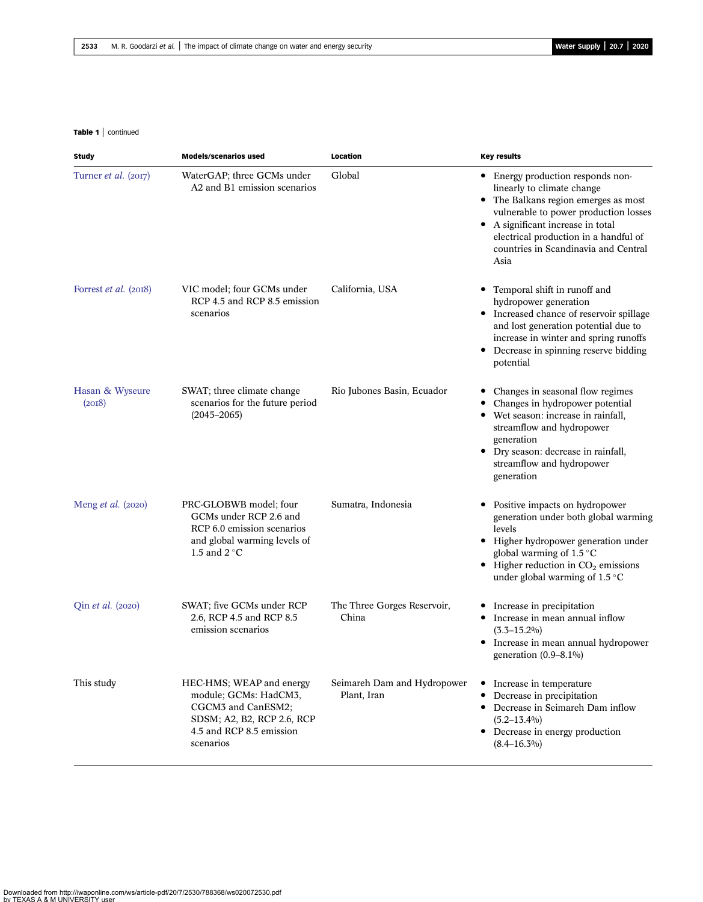#### Table 1 | continued

| <b>Study</b>              | <b>Models/scenarios used</b>                                                                                                                   | Location                                   | <b>Key results</b>                                                                                                                                                                                                                                                             |
|---------------------------|------------------------------------------------------------------------------------------------------------------------------------------------|--------------------------------------------|--------------------------------------------------------------------------------------------------------------------------------------------------------------------------------------------------------------------------------------------------------------------------------|
| Turner et al. (2017)      | WaterGAP; three GCMs under<br>A2 and B1 emission scenarios                                                                                     | Global                                     | • Energy production responds non-<br>linearly to climate change<br>• The Balkans region emerges as most<br>vulnerable to power production losses<br>• A significant increase in total<br>electrical production in a handful of<br>countries in Scandinavia and Central<br>Asia |
| Forrest et al. (2018)     | VIC model; four GCMs under<br>RCP 4.5 and RCP 8.5 emission<br>scenarios                                                                        | California, USA                            | Temporal shift in runoff and<br>٠<br>hydropower generation<br>• Increased chance of reservoir spillage<br>and lost generation potential due to<br>increase in winter and spring runoffs<br>Decrease in spinning reserve bidding<br>potential                                   |
| Hasan & Wyseure<br>(20I8) | SWAT; three climate change<br>scenarios for the future period<br>$(2045 - 2065)$                                                               | Rio Jubones Basin, Ecuador                 | Changes in seasonal flow regimes<br>Changes in hydropower potential<br>$\bullet$<br>Wet season: increase in rainfall,<br>٠<br>streamflow and hydropower<br>generation<br>Dry season: decrease in rainfall,<br>$\bullet$<br>streamflow and hydropower<br>generation             |
| Meng <i>et al.</i> (2020) | PRC-GLOBWB model; four<br>GCMs under RCP 2.6 and<br>RCP 6.0 emission scenarios<br>and global warming levels of<br>1.5 and $2^{\circ}$ C        | Sumatra, Indonesia                         | Positive impacts on hydropower<br>generation under both global warming<br>levels<br>• Higher hydropower generation under<br>global warming of 1.5 °C<br>$\bullet$ Higher reduction in CO <sub>2</sub> emissions<br>under global warming of $1.5^{\circ}$ C                     |
| Qin et al. (2020)         | SWAT; five GCMs under RCP<br>2.6, RCP 4.5 and RCP 8.5<br>emission scenarios                                                                    | The Three Gorges Reservoir,<br>China       | Increase in precipitation<br>Increase in mean annual inflow<br>٠<br>$(3.3 - 15.2\%)$<br>• Increase in mean annual hydropower<br>generation $(0.9-8.1\%)$                                                                                                                       |
| This study                | HEC-HMS; WEAP and energy<br>module; GCMs: HadCM3,<br>CGCM3 and CanESM2;<br>SDSM; A2, B2, RCP 2.6, RCP<br>4.5 and RCP 8.5 emission<br>scenarios | Seimareh Dam and Hydropower<br>Plant, Iran | • Increase in temperature<br>Decrease in precipitation<br>Decrease in Seimareh Dam inflow<br>٠<br>$(5.2 - 13.4\%)$<br>• Decrease in energy production<br>$(8.4 - 16.3\%)$                                                                                                      |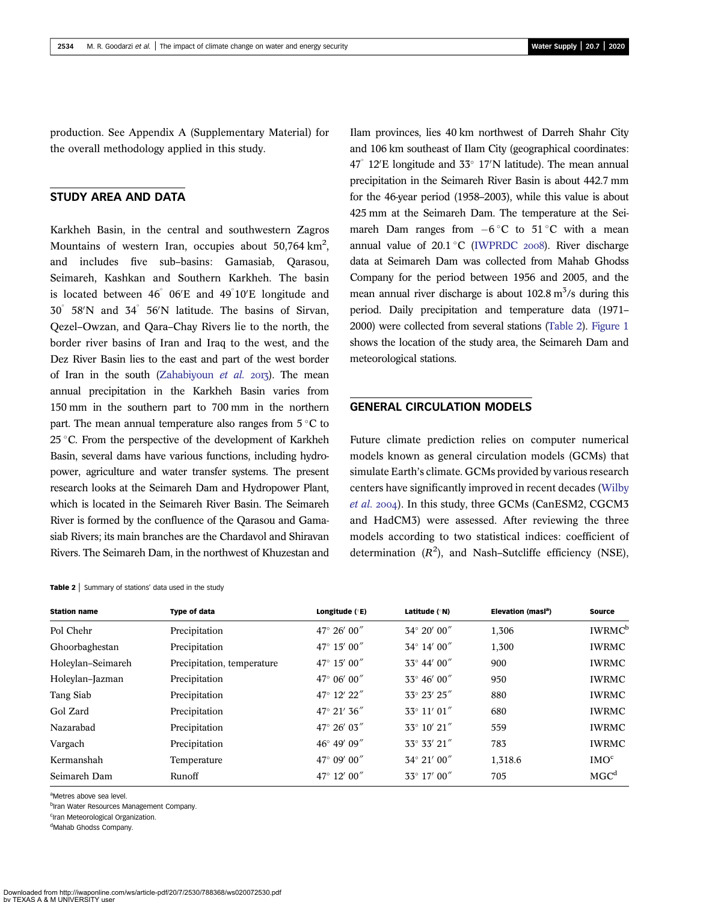production. See Appendix A (Supplementary Material) for the overall methodology applied in this study.

# STUDY AREA AND DATA

Karkheh Basin, in the central and southwestern Zagros Mountains of western Iran, occupies about  $50,764 \text{ km}^2$ , and includes five sub–basins: Gamasiab, Qarasou, Seimareh, Kashkan and Southern Karkheh. The basin is located between  $46^{\degree}$  06'E and  $49^{\degree}10'$ E longitude and  $30^{\circ}$  58'N and  $34^{\circ}$  56'N latitude. The basins of Sirvan, Qezel–Owzan, and Qara–Chay Rivers lie to the north, the border river basins of Iran and Iraq to the west, and the Dez River Basin lies to the east and part of the west border of Iran in the south (Zahabiyoun et al.  $2017$ ). The mean annual precipitation in the Karkheh Basin varies from 150 mm in the southern part to 700 mm in the northern part. The mean annual temperature also ranges from  $5^{\circ}$ C to 25 °C. From the perspective of the development of Karkheh Basin, several dams have various functions, including hydropower, agriculture and water transfer systems. The present research looks at the Seimareh Dam and Hydropower Plant, which is located in the Seimareh River Basin. The Seimareh River is formed by the confluence of the Qarasou and Gamasiab Rivers; its main branches are the Chardavol and Shiravan Rivers. The Seimareh Dam, in the northwest of Khuzestan and

Table 2 | Summary of stations' data used in the study

Ilam provinces, lies 40 km northwest of Darreh Shahr City and 106 km southeast of Ilam City (geographical coordinates:  $47^{\circ}$  12'E longitude and 33 $^{\circ}$  17'N latitude). The mean annual precipitation in the Seimareh River Basin is about 442.7 mm for the 46-year period (1958–2003), while this value is about 425 mm at the Seimareh Dam. The temperature at the Seimareh Dam ranges from  $-6^{\circ}$ C to  $51^{\circ}$ C with a mean annual value of  $20.1 \degree C$  (IWPRDC 2008). River discharge data at Seimareh Dam was collected from Mahab Ghodss Company for the period between 1956 and 2005, and the mean annual river discharge is about  $102.8 \text{ m}^3/\text{s}$  during this period. Daily precipitation and temperature data (1971– 2000) were collected from several stations (Table 2). Figure 1 shows the location of the study area, the Seimareh Dam and meteorological stations.

### GENERAL CIRCULATION MODELS

Future climate prediction relies on computer numerical models known as general circulation models (GCMs) that simulate Earth's climate. GCMs provided by various research centers have significantly improved in recent decades (Wilby et al. 2004). In this study, three GCMs (CanESM2, CGCM3 and HadCM3) were assessed. After reviewing the three models according to two statistical indices: coefficient of determination  $(R^2)$ , and Nash-Sutcliffe efficiency (NSE),

| <b>Type of data</b>        | Longitude $(°E)$     | Latitude (°N)         | Elevation (masl <sup>a</sup> ) | <b>Source</b>             |
|----------------------------|----------------------|-----------------------|--------------------------------|---------------------------|
| Precipitation              | 47° 26′ 00"          | $34^{\circ} 20' 00''$ | 1,306                          | <b>IWRMC</b> <sup>b</sup> |
| Precipitation              | 47° 15′ 00″          | 34° 14' 00"           | 1,300                          | <b>IWRMC</b>              |
| Precipitation, temperature | 47° 15′ 00″          | 33° 44' 00"           | 900                            | <b>IWRMC</b>              |
| Precipitation              | 47° 06′ 00″          | 33° 46' 00"           | 950                            | <b>IWRMC</b>              |
| Precipitation              | 47° 12' 22"          | 33° 23' 25"           | 880                            | <b>IWRMC</b>              |
| Precipitation              | $47^{\circ}$ 21' 36" | $33^{\circ}$ 11' 01"  | 680                            | <b>IWRMC</b>              |
| Precipitation              | 47° 26′ 03″          | $33^{\circ}$ 10' 21"  | 559                            | <b>IWRMC</b>              |
| Precipitation              | 46° 49' 09"          | $33^{\circ}$ 33' 21"  | 783                            | <b>IWRMC</b>              |
| Temperature                | 47° 09′ 00″          | 34° 21' 00"           | 1,318.6                        | IMO <sup>c</sup>          |
| Runoff                     | 47° 12′ 00"          | 33° 17' 00"           | 705                            | MGC <sup>d</sup>          |
|                            |                      |                       |                                |                           |

aMetres above sea level.

<sup>b</sup>Iran Water Resources Management Company.

<sup>c</sup>Iran Meteorological Organization.

<sup>d</sup>Mahab Ghodss Company.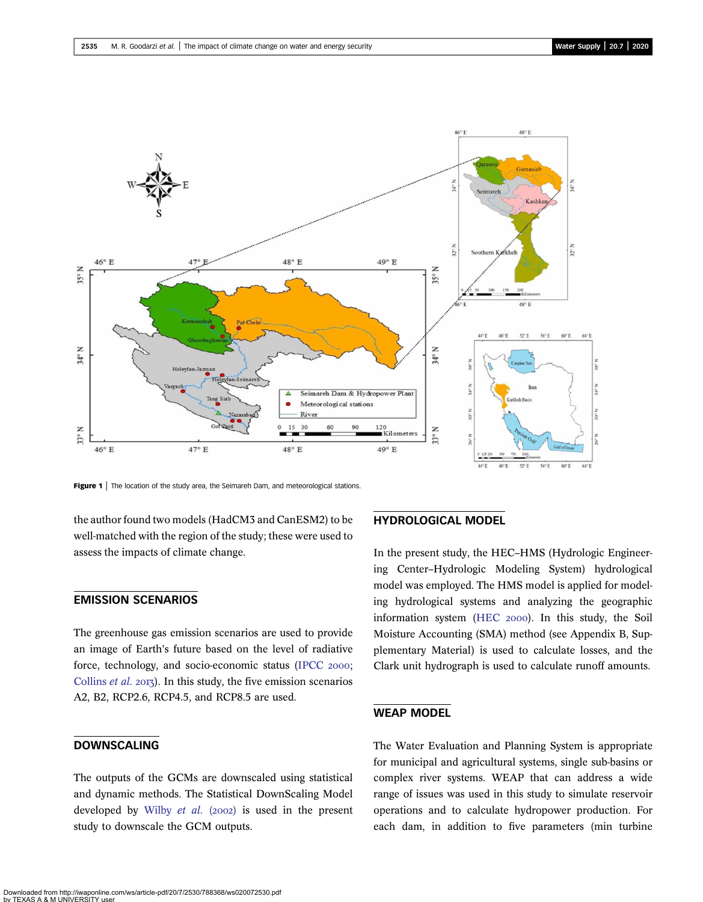

Figure 1 | The location of the study area, the Seimareh Dam, and meteorological stations.

the author found two models (HadCM3 and CanESM2) to be well-matched with the region of the study; these were used to assess the impacts of climate change.

# EMISSION SCENARIOS

The greenhouse gas emission scenarios are used to provide an image of Earth's future based on the level of radiative force, technology, and socio-economic status (IPCC 2000; Collins  $et$  al.  $2013$ ). In this study, the five emission scenarios A2, B2, RCP2.6, RCP4.5, and RCP8.5 are used.

# DOWNSCALING

The outputs of the GCMs are downscaled using statistical and dynamic methods. The Statistical DownScaling Model developed by Wilby et al.  $(2002)$  is used in the present study to downscale the GCM outputs.

# HYDROLOGICAL MODEL

In the present study, the HEC–HMS (Hydrologic Engineering Center–Hydrologic Modeling System) hydrological model was employed. The HMS model is applied for modeling hydrological systems and analyzing the geographic information system (HEC 2000). In this study, the Soil Moisture Accounting (SMA) method (see Appendix B, Supplementary Material) is used to calculate losses, and the Clark unit hydrograph is used to calculate runoff amounts.

# WEAP MODEL

The Water Evaluation and Planning System is appropriate for municipal and agricultural systems, single sub-basins or complex river systems. WEAP that can address a wide range of issues was used in this study to simulate reservoir operations and to calculate hydropower production. For each dam, in addition to five parameters (min turbine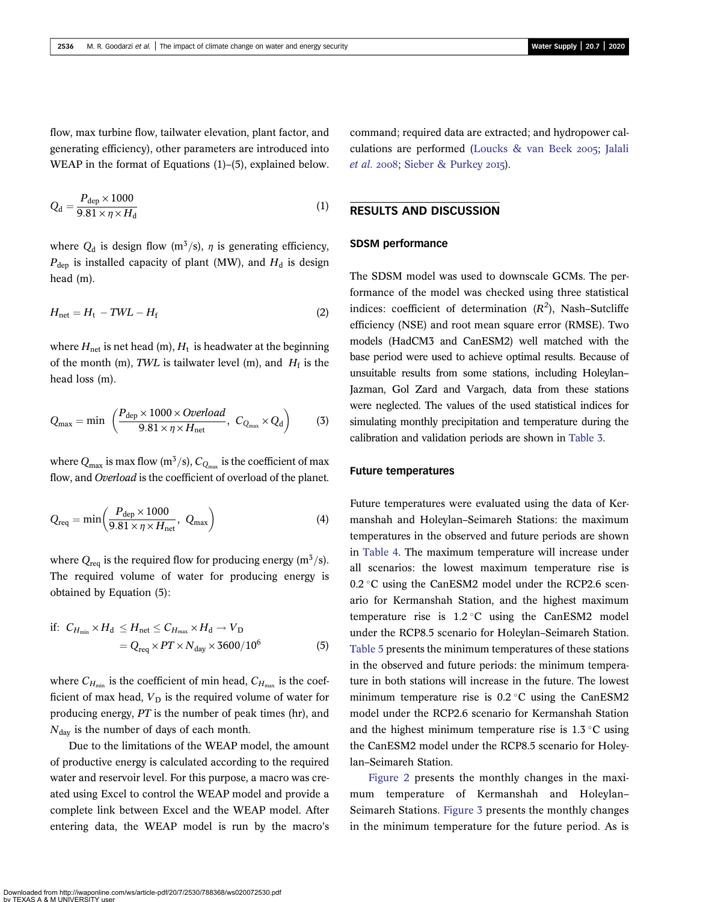flow, max turbine flow, tailwater elevation, plant factor, and generating efficiency), other parameters are introduced into WEAP in the format of Equations (1)–(5), explained below.

$$
Q_{\rm d} = \frac{P_{\rm dep} \times 1000}{9.81 \times \eta \times H_{\rm d}}\tag{1}
$$

where  $Q_d$  is design flow (m<sup>3</sup>/s),  $\eta$  is generating efficiency,  $P_{\text{dep}}$  is installed capacity of plant (MW), and  $H_{\text{d}}$  is design head (m).

$$
H_{\text{net}} = H_{\text{t}} - TWL - H_{\text{f}}
$$
 (2)

where  $H_{\text{net}}$  is net head (m),  $H_t$  is headwater at the beginning of the month (m), TWL is tailwater level (m), and  $H_f$  is the head loss (m).

$$
Q_{\text{max}} = \min \left( \frac{P_{\text{dep}} \times 1000 \times Overload}{9.81 \times \eta \times H_{\text{net}}} , C_{Q_{\text{max}}} \times Q_{\text{d}} \right) \tag{3}
$$

where  $Q_{\text{max}}$  is max flow (m<sup>3</sup>/s),  $C_{Q_{\text{max}}}$  is the coefficient of max flow, and *Overload* is the coefficient of overload of the planet.

$$
Q_{\text{req}} = \min\left(\frac{P_{\text{dep}} \times 1000}{9.81 \times \eta \times H_{\text{net}}}, Q_{\text{max}}\right)
$$
(4)

where  $Q_{\text{rea}}$  is the required flow for producing energy (m<sup>3</sup>/s). The required volume of water for producing energy is obtained by Equation (5):

if: 
$$
C_{H_{\min}} \times H_d \le H_{\text{net}} \le C_{H_{\max}} \times H_d \to V_D
$$
  
=  $Q_{\text{req}} \times PT \times N_{\text{day}} \times 3600/10^6$  (5)

where  $C_{H_{\min}}$  is the coefficient of min head,  $C_{H_{\max}}$  is the coefficient of max head,  $V_D$  is the required volume of water for producing energy, PT is the number of peak times (hr), and  $N_{\text{dav}}$  is the number of days of each month.

Due to the limitations of the WEAP model, the amount of productive energy is calculated according to the required water and reservoir level. For this purpose, a macro was created using Excel to control the WEAP model and provide a complete link between Excel and the WEAP model. After entering data, the WEAP model is run by the macro's command; required data are extracted; and hydropower calculations are performed (Loucks & van Beek 2005; Jalali et al.  $2008$ ; Sieber & Purkey  $2015$ ).

# RESULTS AND DISCUSSION

#### SDSM performance

The SDSM model was used to downscale GCMs. The performance of the model was checked using three statistical indices: coefficient of determination  $(R^2)$ , Nash-Sutcliffe efficiency (NSE) and root mean square error (RMSE). Two models (HadCM3 and CanESM2) well matched with the base period were used to achieve optimal results. Because of unsuitable results from some stations, including Holeylan– Jazman, Gol Zard and Vargach, data from these stations were neglected. The values of the used statistical indices for simulating monthly precipitation and temperature during the calibration and validation periods are shown in Table 3.

#### Future temperatures

Future temperatures were evaluated using the data of Kermanshah and Holeylan–Seimareh Stations: the maximum temperatures in the observed and future periods are shown in Table 4. The maximum temperature will increase under all scenarios: the lowest maximum temperature rise is  $0.2$  °C using the CanESM2 model under the RCP2.6 scenario for Kermanshah Station, and the highest maximum temperature rise is  $1.2 \degree$ C using the CanESM2 model under the RCP8.5 scenario for Holeylan–Seimareh Station. Table 5 presents the minimum temperatures of these stations in the observed and future periods: the minimum temperature in both stations will increase in the future. The lowest minimum temperature rise is  $0.2 \degree C$  using the CanESM2 model under the RCP2.6 scenario for Kermanshah Station and the highest minimum temperature rise is  $1.3 \degree C$  using the CanESM2 model under the RCP8.5 scenario for Holeylan–Seimareh Station.

Figure 2 presents the monthly changes in the maximum temperature of Kermanshah and Holeylan– Seimareh Stations. Figure 3 presents the monthly changes in the minimum temperature for the future period. As is

Downloaded from http://iwaponline.com/ws/article-pdf/20/7/2530/788368/ws020072530.pdf by TEXAS A & M UNIVERSITY user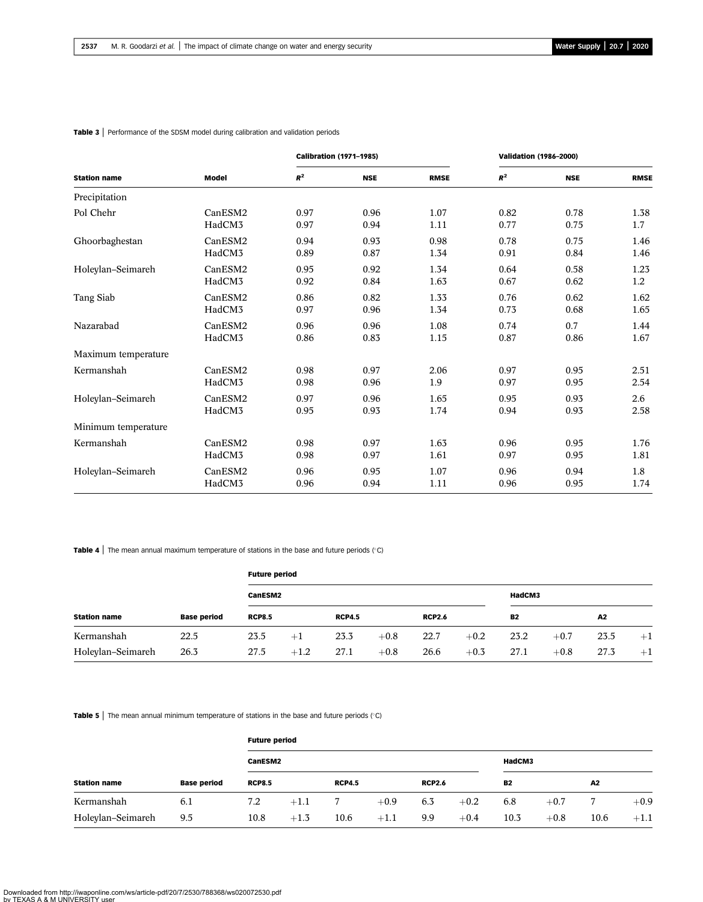#### Table 3 | Performance of the SDSM model during calibration and validation periods

|                     |              |       | <b>Calibration (1971-1985)</b> |             | <b>Validation (1986-2000)</b> |            |             |  |
|---------------------|--------------|-------|--------------------------------|-------------|-------------------------------|------------|-------------|--|
| <b>Station name</b> | <b>Model</b> | $R^2$ | <b>NSE</b>                     | <b>RMSE</b> | $R^2$                         | <b>NSE</b> | <b>RMSE</b> |  |
| Precipitation       |              |       |                                |             |                               |            |             |  |
| Pol Chehr           | CanESM2      | 0.97  | 0.96                           | 1.07        | 0.82                          | 0.78       | 1.38        |  |
|                     | HadCM3       | 0.97  | 0.94                           | 1.11        | 0.77                          | 0.75       | 1.7         |  |
| Ghoorbaghestan      | CanESM2      | 0.94  | 0.93                           | 0.98        | 0.78                          | 0.75       | 1.46        |  |
|                     | HadCM3       | 0.89  | 0.87                           | 1.34        | 0.91                          | 0.84       | 1.46        |  |
| Holeylan-Seimareh   | CanESM2      | 0.95  | 0.92                           | 1.34        | 0.64                          | 0.58       | 1.23        |  |
|                     | HadCM3       | 0.92  | 0.84                           | 1.63        | 0.67                          | 0.62       | 1.2         |  |
| Tang Siab           | CanESM2      | 0.86  | 0.82                           | 1.33        | 0.76                          | 0.62       | 1.62        |  |
|                     | HadCM3       | 0.97  | 0.96                           | 1.34        | 0.73                          | 0.68       | 1.65        |  |
| Nazarabad           | CanESM2      | 0.96  | 0.96                           | 1.08        | 0.74                          | 0.7        | 1.44        |  |
|                     | HadCM3       | 0.86  | 0.83                           | 1.15        | 0.87                          | 0.86       | 1.67        |  |
| Maximum temperature |              |       |                                |             |                               |            |             |  |
| Kermanshah          | CanESM2      | 0.98  | 0.97                           | 2.06        | 0.97                          | 0.95       | 2.51        |  |
|                     | HadCM3       | 0.98  | 0.96                           | 1.9         | 0.97                          | 0.95       | 2.54        |  |
| Holeylan-Seimareh   | CanESM2      | 0.97  | 0.96                           | 1.65        | 0.95                          | 0.93       | 2.6         |  |
|                     | HadCM3       | 0.95  | 0.93                           | 1.74        | 0.94                          | 0.93       | 2.58        |  |
| Minimum temperature |              |       |                                |             |                               |            |             |  |
| Kermanshah          | CanESM2      | 0.98  | 0.97                           | 1.63        | 0.96                          | 0.95       | 1.76        |  |
|                     | HadCM3       | 0.98  | 0.97                           | 1.61        | 0.97                          | 0.95       | 1.81        |  |
| Holeylan-Seimareh   | CanESM2      | 0.96  | 0.95                           | 1.07        | 0.96                          | 0.94       | 1.8         |  |
|                     | HadCM3       | 0.96  | 0.94                           | 1.11        | 0.96                          | 0.95       | 1.74        |  |

#### Table 4 | The mean annual maximum temperature of stations in the base and future periods (°C)

| <b>Station name</b><br>Kermanshah | <b>Base period</b><br>22.5 |               | <b>Future period</b> |               |        |               |        |           |        |      |      |  |  |
|-----------------------------------|----------------------------|---------------|----------------------|---------------|--------|---------------|--------|-----------|--------|------|------|--|--|
|                                   |                            |               | CanESM2              |               |        |               |        |           | HadCM3 |      |      |  |  |
|                                   |                            | <b>RCP8.5</b> |                      | <b>RCP4.5</b> |        | <b>RCP2.6</b> |        | <b>B2</b> |        | A2   |      |  |  |
|                                   |                            | 23.5          | $+1$                 | 23.3          | $+0.8$ | 22.7          | $+0.2$ | 23.2      | $+0.7$ | 23.5 | $+1$ |  |  |
| Holeylan-Seimareh                 | 26.3                       | 27.5          | $+1.2$               | 27.1          | $+0.8$ | 26.6          | $+0.3$ | 27.1      | $+0.8$ | 27.3 | $+1$ |  |  |

**Table 5** | The mean annual minimum temperature of stations in the base and future periods  $(°C)$ 

| <b>Station name</b><br>Kermanshah | <b>Base period</b><br>6.1 |               | <b>Future period</b> |               |        |               |        |      |        |      |        |  |  |
|-----------------------------------|---------------------------|---------------|----------------------|---------------|--------|---------------|--------|------|--------|------|--------|--|--|
|                                   |                           | CanESM2       |                      |               |        | HadCM3        |        |      |        |      |        |  |  |
|                                   |                           | <b>RCP8.5</b> |                      | <b>RCP4.5</b> |        | <b>RCP2.6</b> |        | B2   |        | A2   |        |  |  |
|                                   |                           | 7.2           | $+1.1$               |               | $+0.9$ | 6.3           | $+0.2$ | 6.8  | $+0.7$ |      | $+0.9$ |  |  |
| Holeylan-Seimareh                 | 9.5                       | 10.8          | $+1.3$               | 10.6          | $+1.1$ | 9.9           | $+0.4$ | 10.3 | $+0.8$ | 10.6 | $+1.1$ |  |  |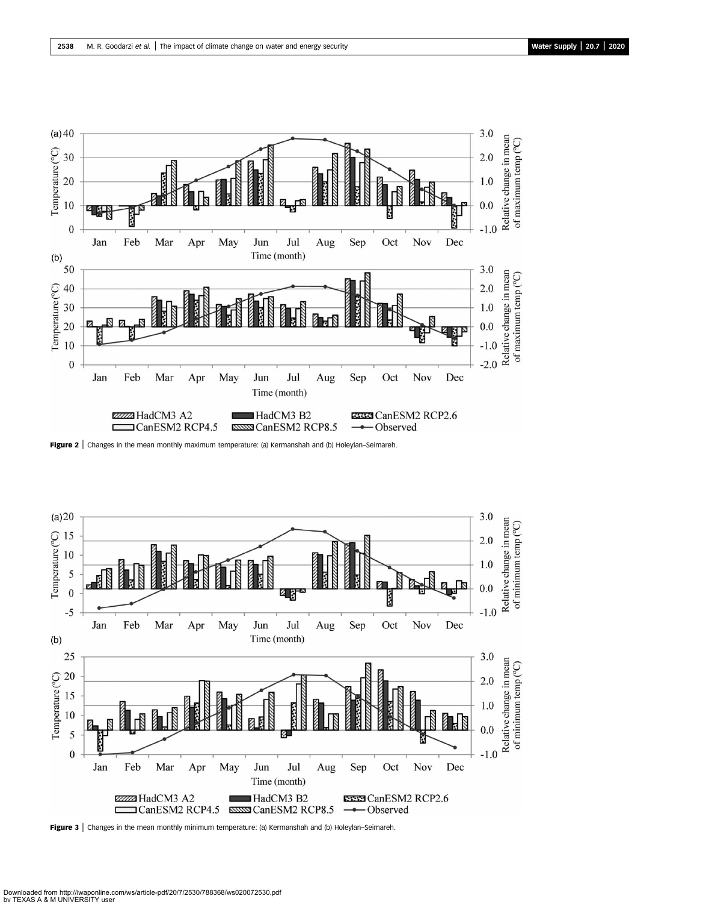

Figure 2 | Changes in the mean monthly maximum temperature: (a) Kermanshah and (b) Holeylan–Seimareh.



Figure 3 | Changes in the mean monthly minimum temperature: (a) Kermanshah and (b) Holeylan–Seimareh.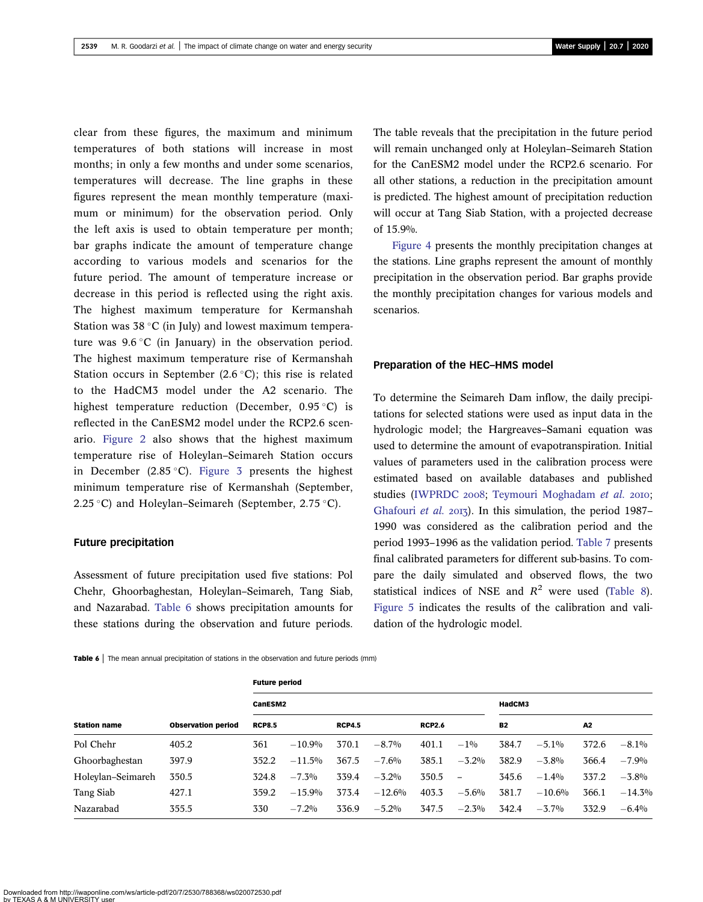clear from these figures, the maximum and minimum temperatures of both stations will increase in most months; in only a few months and under some scenarios, temperatures will decrease. The line graphs in these figures represent the mean monthly temperature (maximum or minimum) for the observation period. Only the left axis is used to obtain temperature per month; bar graphs indicate the amount of temperature change according to various models and scenarios for the future period. The amount of temperature increase or decrease in this period is reflected using the right axis. The highest maximum temperature for Kermanshah Station was  $38^{\circ}$ C (in July) and lowest maximum temperature was  $9.6 \degree$ C (in January) in the observation period. The highest maximum temperature rise of Kermanshah Station occurs in September  $(2.6 \degree C)$ ; this rise is related to the HadCM3 model under the A2 scenario. The highest temperature reduction (December,  $0.95^{\circ}$ C) is reflected in the CanESM2 model under the RCP2.6 scenario. Figure 2 also shows that the highest maximum temperature rise of Holeylan–Seimareh Station occurs in December (2.85 °C). Figure 3 presents the highest minimum temperature rise of Kermanshah (September, 2.25 °C) and Holeylan–Seimareh (September, 2.75 °C).

#### Future precipitation

Assessment of future precipitation used five stations: Pol Chehr, Ghoorbaghestan, Holeylan–Seimareh, Tang Siab, and Nazarabad. Table 6 shows precipitation amounts for these stations during the observation and future periods. The table reveals that the precipitation in the future period will remain unchanged only at Holeylan–Seimareh Station for the CanESM2 model under the RCP2.6 scenario. For all other stations, a reduction in the precipitation amount is predicted. The highest amount of precipitation reduction will occur at Tang Siab Station, with a projected decrease of 15.9%.

Figure 4 presents the monthly precipitation changes at the stations. Line graphs represent the amount of monthly precipitation in the observation period. Bar graphs provide the monthly precipitation changes for various models and scenarios.

#### Preparation of the HEC–HMS model

To determine the Seimareh Dam inflow, the daily precipitations for selected stations were used as input data in the hydrologic model; the Hargreaves–Samani equation was used to determine the amount of evapotranspiration. Initial values of parameters used in the calibration process were estimated based on available databases and published studies (IWPRDC 2008; Teymouri Moghadam et al. 2010; Ghafouri et al. 2013). In this simulation, the period 1987– 1990 was considered as the calibration period and the period 1993–1996 as the validation period. Table 7 presents final calibrated parameters for different sub-basins. To compare the daily simulated and observed flows, the two statistical indices of NSE and  $R^2$  were used (Table 8). Figure 5 indicates the results of the calibration and validation of the hydrologic model.

Table 6 | The mean annual precipitation of stations in the observation and future periods (mm)

| <b>Station name</b> |                           | <b>Future period</b> |           |               |          |               |                          |           |          |       |           |  |
|---------------------|---------------------------|----------------------|-----------|---------------|----------|---------------|--------------------------|-----------|----------|-------|-----------|--|
|                     |                           | CanESM2              |           |               |          |               |                          |           | HadCM3   |       |           |  |
|                     | <b>Observation period</b> | <b>RCP8.5</b>        |           | <b>RCP4.5</b> |          | <b>RCP2.6</b> |                          | <b>B2</b> |          | A2    |           |  |
| Pol Chehr           | 405.2                     | 361                  | $-10.9%$  | 370.1         | $-8.7\%$ | 401.1         | $-1\%$                   | 384.7     | $-5.1\%$ | 372.6 | $-8.1\%$  |  |
| Ghoorbaghestan      | 397.9                     | 352.2                | $-11.5\%$ | 367.5         | $-7.6%$  | 385.1         | $-3.2\%$                 | 382.9     | $-3.8\%$ | 366.4 | $-7.9%$   |  |
| Holeylan-Seimareh   | 350.5                     | 324.8                | $-7.3\%$  | 339.4         | $-3.2%$  | 350.5         | $\overline{\phantom{a}}$ | 345.6     | $-1.4%$  | 337.2 | $-3.8\%$  |  |
| Tang Siab           | 427.1                     | 359.2                | $-15.9%$  | 373.4         | $-12.6%$ | 403.3         | $-5.6\%$                 | 381.7     | $-10.6%$ | 366.1 | $-14.3\%$ |  |
| Nazarabad           | 355.5                     | 330                  | $-7.2\%$  | 336.9         | $-5.2\%$ | 347.5         | $-2.3\%$                 | 342.4     | $-3.7\%$ | 332.9 | $-6.4\%$  |  |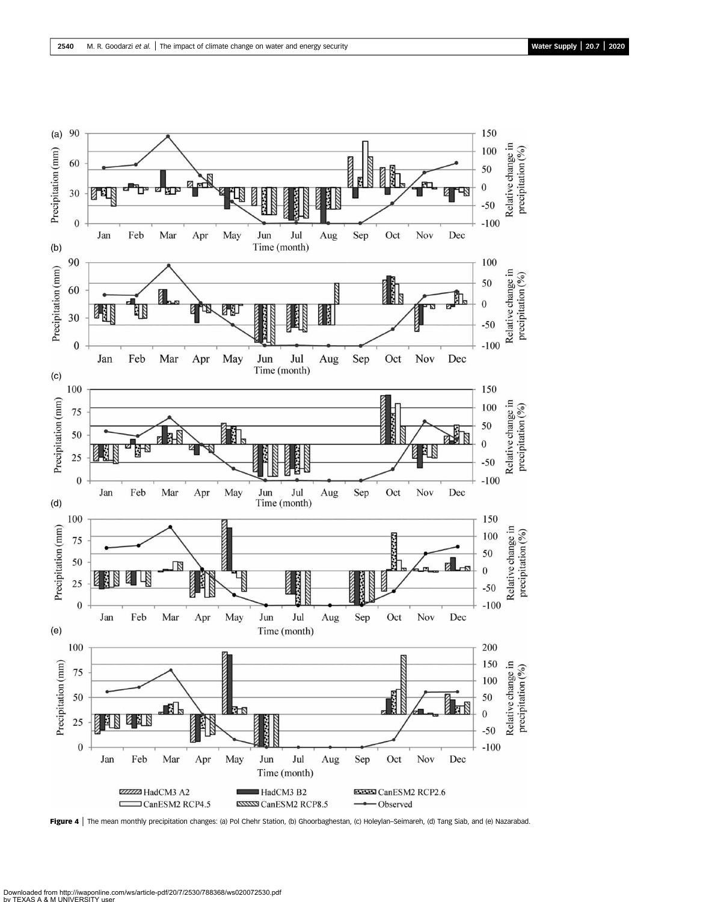

Figure 4 | The mean monthly precipitation changes: (a) Pol Chehr Station, (b) Ghoorbaghestan, (c) Holeylan-Seimareh, (d) Tang Siab, and (e) Nazarabad.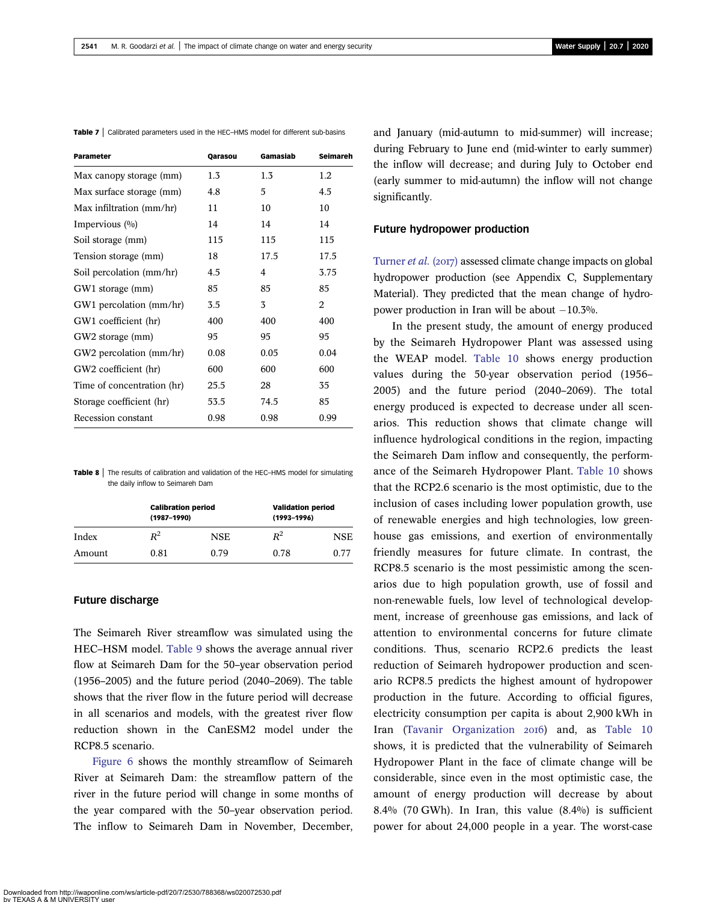| <b>Parameter</b>           | Qarasou | Gamasiab | <b>Seimareh</b> |
|----------------------------|---------|----------|-----------------|
| Max canopy storage (mm)    | $1.3\,$ | 1.3      | 1.2             |
| Max surface storage (mm)   | 4.8     | 5        | 4.5             |
| Max infiltration (mm/hr)   | 11      | 10       | 10              |
| Impervious $(\%)$          | 14      | 14       | 14              |
| Soil storage (mm)          | 115     | 115      | 115             |
| Tension storage (mm)       | 18      | 17.5     | 17.5            |
| Soil percolation (mm/hr)   | 4.5     | 4        | 3.75            |
| GW1 storage (mm)           | 85      | 85       | 85              |
| GW1 percolation (mm/hr)    | 3.5     | 3        | 2               |
| GW1 coefficient (hr)       | 400     | 400      | 400             |
| GW2 storage (mm)           | 95      | 95       | 95              |
| GW2 percolation (mm/hr)    | 0.08    | 0.05     | 0.04            |
| GW2 coefficient (hr)       | 600     | 600      | 600             |
| Time of concentration (hr) | 25.5    | 28       | 35              |
| Storage coefficient (hr)   | 53.5    | 74.5     | 85              |
| Recession constant         | 0.98    | 0.98     | 0.99            |

Table 7 | Calibrated parameters used in the HEC–HMS model for different sub-basins

**Table 8**  $\vert$  The results of calibration and validation of the HEC–HMS model for simulating the daily inflow to Seimareh Dam

|        | <b>Calibration period</b><br>$(1987 - 1990)$ |      | <b>Validation period</b><br>$(1993 - 1996)$ |      |  |  |
|--------|----------------------------------------------|------|---------------------------------------------|------|--|--|
| Index  | $R^2$                                        | NSE. | $R^2$                                       | NSE  |  |  |
| Amount | 0.81                                         | 0.79 | 0.78                                        | 0.77 |  |  |

#### Future discharge

The Seimareh River streamflow was simulated using the HEC–HSM model. Table 9 shows the average annual river flow at Seimareh Dam for the 50–year observation period (1956–2005) and the future period (2040–2069). The table shows that the river flow in the future period will decrease in all scenarios and models, with the greatest river flow reduction shown in the CanESM2 model under the RCP8.5 scenario.

Figure 6 shows the monthly streamflow of Seimareh River at Seimareh Dam: the streamflow pattern of the river in the future period will change in some months of the year compared with the 50–year observation period. The inflow to Seimareh Dam in November, December,

and January (mid-autumn to mid-summer) will increase; during February to June end (mid-winter to early summer) the inflow will decrease; and during July to October end (early summer to mid-autumn) the inflow will not change significantly.

#### Future hydropower production

Turner *et al.* (2017) assessed climate change impacts on global hydropower production (see Appendix C, Supplementary Material). They predicted that the mean change of hydropower production in Iran will be about  $-10.3\%$ .

In the present study, the amount of energy produced by the Seimareh Hydropower Plant was assessed using the WEAP model. Table 10 shows energy production values during the 50-year observation period (1956– 2005) and the future period (2040–2069). The total energy produced is expected to decrease under all scenarios. This reduction shows that climate change will influence hydrological conditions in the region, impacting the Seimareh Dam inflow and consequently, the performance of the Seimareh Hydropower Plant. Table 10 shows that the RCP2.6 scenario is the most optimistic, due to the inclusion of cases including lower population growth, use of renewable energies and high technologies, low greenhouse gas emissions, and exertion of environmentally friendly measures for future climate. In contrast, the RCP8.5 scenario is the most pessimistic among the scenarios due to high population growth, use of fossil and non-renewable fuels, low level of technological development, increase of greenhouse gas emissions, and lack of attention to environmental concerns for future climate conditions. Thus, scenario RCP2.6 predicts the least reduction of Seimareh hydropower production and scenario RCP8.5 predicts the highest amount of hydropower production in the future. According to official figures, electricity consumption per capita is about 2,900 kWh in Iran (Tavanir Organization 2016) and, as Table 10 shows, it is predicted that the vulnerability of Seimareh Hydropower Plant in the face of climate change will be considerable, since even in the most optimistic case, the amount of energy production will decrease by about 8.4% (70 GWh). In Iran, this value (8.4%) is sufficient power for about 24,000 people in a year. The worst-case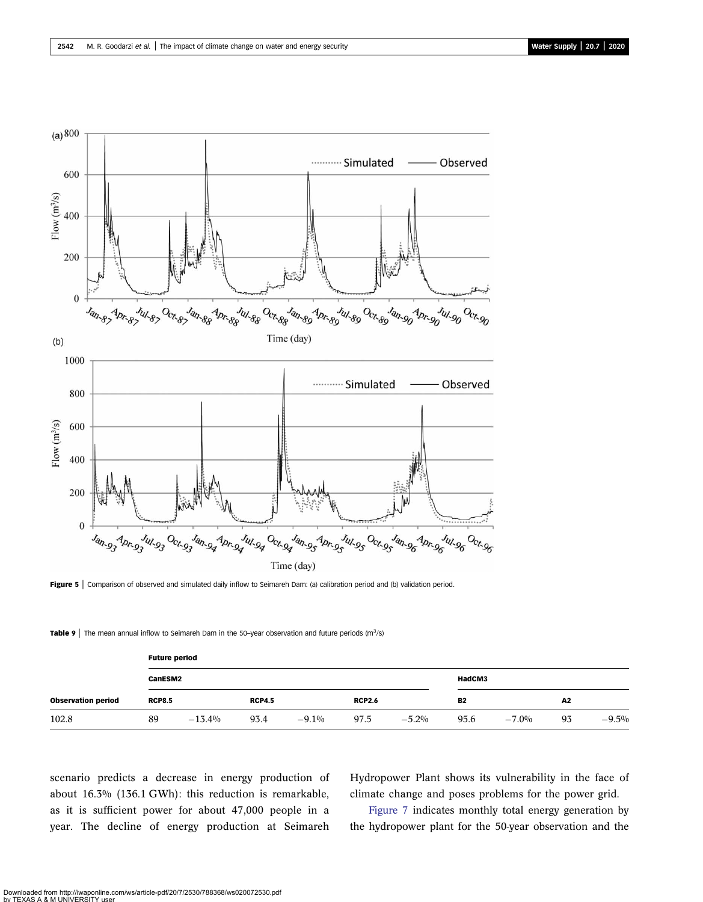

Figure 5 | Comparison of observed and simulated daily inflow to Seimareh Dam: (a) calibration period and (b) validation period.

Table 9 | The mean annual inflow to Seimareh Dam in the 50-year observation and future periods (m<sup>3</sup>/s)

| <b>Observation period</b> |               | <b>Future period</b> |               |          |               |          |           |          |    |          |  |  |  |
|---------------------------|---------------|----------------------|---------------|----------|---------------|----------|-----------|----------|----|----------|--|--|--|
|                           |               | CanESM2              |               |          |               |          |           | HadCM3   |    |          |  |  |  |
|                           | <b>RCP8.5</b> |                      | <b>RCP4.5</b> |          | <b>RCP2.6</b> |          | <b>B2</b> |          | A2 |          |  |  |  |
| 102.8                     | 89            | $-13.4%$             | 93.4          | $-9.1\%$ | 97.5          | $-5.2\%$ | 95.6      | $-7.0\%$ | 93 | $-9.5\%$ |  |  |  |

scenario predicts a decrease in energy production of about 16.3% (136.1 GWh): this reduction is remarkable, as it is sufficient power for about 47,000 people in a year. The decline of energy production at Seimareh Hydropower Plant shows its vulnerability in the face of climate change and poses problems for the power grid.

Figure 7 indicates monthly total energy generation by the hydropower plant for the 50-year observation and the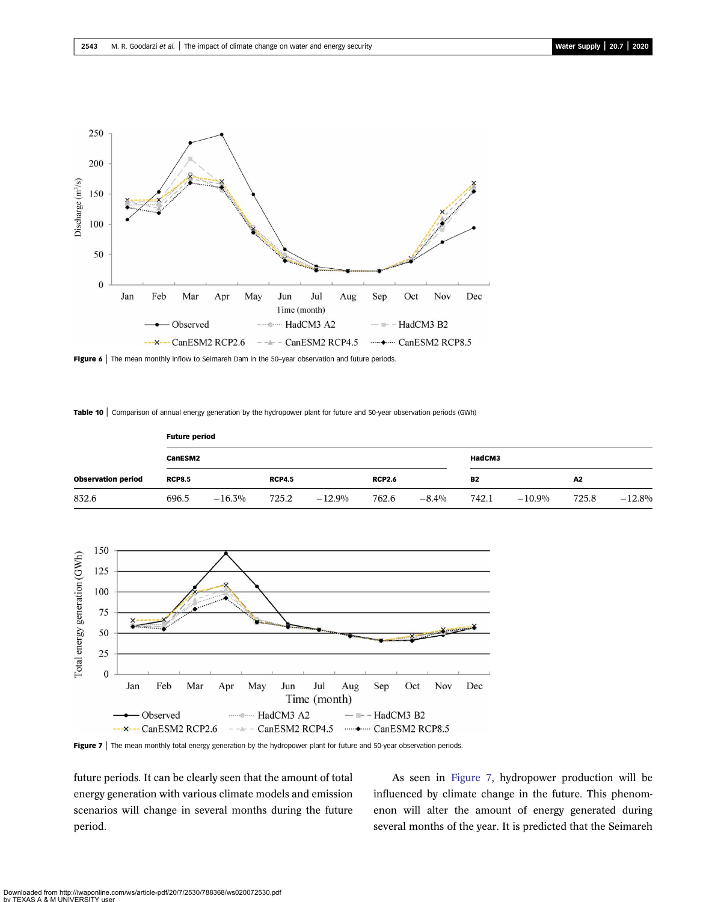

Figure 6 | The mean monthly inflow to Seimareh Dam in the 50-year observation and future periods.

Table 10 | Comparison of annual energy generation by the hydropower plant for future and 50-year observation periods (GWh)

| <b>Observation period</b> |               | <b>Future period</b> |               |          |               |         |           |          |       |          |  |  |  |
|---------------------------|---------------|----------------------|---------------|----------|---------------|---------|-----------|----------|-------|----------|--|--|--|
|                           | CanESM2       |                      |               |          | HadCM3        |         |           |          |       |          |  |  |  |
|                           | <b>RCP8.5</b> |                      | <b>RCP4.5</b> |          | <b>RCP2.6</b> |         | <b>B2</b> |          | A2    |          |  |  |  |
| 832.6                     | 696.5         | $-16.3\%$            | 725.2         | $-12.9%$ | 762.6         | $-8.4%$ | 742.1     | $-10.9%$ | 725.8 | $-12.8%$ |  |  |  |



Figure 7 | The mean monthly total energy generation by the hydropower plant for future and 50-year observation periods.

future periods. It can be clearly seen that the amount of total energy generation with various climate models and emission scenarios will change in several months during the future period.

As seen in Figure 7, hydropower production will be influenced by climate change in the future. This phenomenon will alter the amount of energy generated during several months of the year. It is predicted that the Seimareh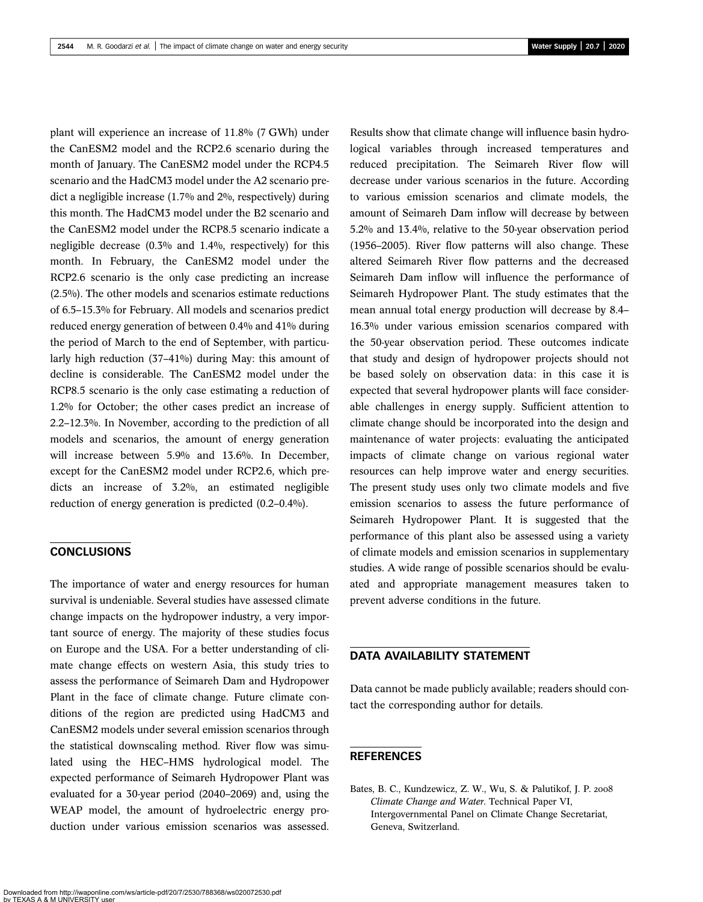plant will experience an increase of 11.8% (7 GWh) under the CanESM2 model and the RCP2.6 scenario during the month of January. The CanESM2 model under the RCP4.5 scenario and the HadCM3 model under the A2 scenario predict a negligible increase (1.7% and 2%, respectively) during this month. The HadCM3 model under the B2 scenario and the CanESM2 model under the RCP8.5 scenario indicate a negligible decrease (0.3% and 1.4%, respectively) for this month. In February, the CanESM2 model under the RCP2.6 scenario is the only case predicting an increase (2.5%). The other models and scenarios estimate reductions of 6.5–15.3% for February. All models and scenarios predict reduced energy generation of between 0.4% and 41% during the period of March to the end of September, with particularly high reduction (37–41%) during May: this amount of decline is considerable. The CanESM2 model under the RCP8.5 scenario is the only case estimating a reduction of 1.2% for October; the other cases predict an increase of 2.2–12.3%. In November, according to the prediction of all models and scenarios, the amount of energy generation will increase between 5.9% and 13.6%. In December, except for the CanESM2 model under RCP2.6, which predicts an increase of 3.2%, an estimated negligible reduction of energy generation is predicted (0.2–0.4%).

# **CONCLUSIONS**

The importance of water and energy resources for human survival is undeniable. Several studies have assessed climate change impacts on the hydropower industry, a very important source of energy. The majority of these studies focus on Europe and the USA. For a better understanding of climate change effects on western Asia, this study tries to assess the performance of Seimareh Dam and Hydropower Plant in the face of climate change. Future climate conditions of the region are predicted using HadCM3 and CanESM2 models under several emission scenarios through the statistical downscaling method. River flow was simulated using the HEC–HMS hydrological model. The expected performance of Seimareh Hydropower Plant was evaluated for a 30-year period (2040–2069) and, using the WEAP model, the amount of hydroelectric energy production under various emission scenarios was assessed. Results show that climate change will influence basin hydrological variables through increased temperatures and reduced precipitation. The Seimareh River flow will decrease under various scenarios in the future. According to various emission scenarios and climate models, the amount of Seimareh Dam inflow will decrease by between 5.2% and 13.4%, relative to the 50-year observation period (1956–2005). River flow patterns will also change. These altered Seimareh River flow patterns and the decreased Seimareh Dam inflow will influence the performance of Seimareh Hydropower Plant. The study estimates that the mean annual total energy production will decrease by 8.4– 16.3% under various emission scenarios compared with the 50-year observation period. These outcomes indicate that study and design of hydropower projects should not be based solely on observation data: in this case it is expected that several hydropower plants will face considerable challenges in energy supply. Sufficient attention to climate change should be incorporated into the design and maintenance of water projects: evaluating the anticipated impacts of climate change on various regional water resources can help improve water and energy securities. The present study uses only two climate models and five emission scenarios to assess the future performance of Seimareh Hydropower Plant. It is suggested that the performance of this plant also be assessed using a variety of climate models and emission scenarios in supplementary studies. A wide range of possible scenarios should be evaluated and appropriate management measures taken to prevent adverse conditions in the future.

# DATA AVAILABILITY STATEMENT

Data cannot be made publicly available; readers should contact the corresponding author for details.

### REFERENCES

Bates, B. C., Kundzewicz, Z. W., Wu, S. & Palutikof, J. P. Climate Change and Water. Technical Paper VI, Intergovernmental Panel on Climate Change Secretariat, Geneva, Switzerland.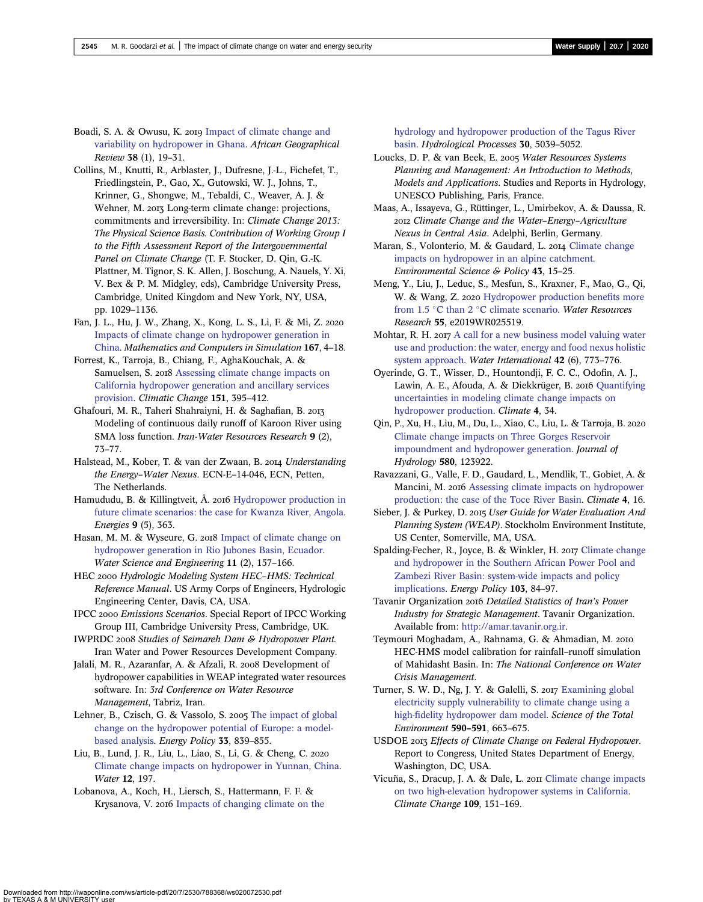Boadi, S. A. & Owusu, K. 2019 Impact of climate change and variability on hydropower in Ghana. African Geographical Review 38 (1), 19–31.

Collins, M., Knutti, R., Arblaster, J., Dufresne, J.-L., Fichefet, T., Friedlingstein, P., Gao, X., Gutowski, W. J., Johns, T., Krinner, G., Shongwe, M., Tebaldi, C., Weaver, A. J. & Wehner, M. 2013 Long-term climate change: projections, commitments and irreversibility. In: Climate Change 2013: The Physical Science Basis. Contribution of Working Group I to the Fifth Assessment Report of the Intergovernmental Panel on Climate Change (T. F. Stocker, D. Qin, G.-K. Plattner, M. Tignor, S. K. Allen, J. Boschung, A. Nauels, Y. Xi, V. Bex & P. M. Midgley, eds), Cambridge University Press, Cambridge, United Kingdom and New York, NY, USA, pp. 1029–1136.

Fan, J. L., Hu, J. W., Zhang, X., Kong, L. S., Li, F. & Mi, Z. Impacts of climate change on hydropower generation in China. Mathematics and Computers in Simulation 167, 4–18.

Forrest, K., Tarroja, B., Chiang, F., AghaKouchak, A. & Samuelsen, S. 2018 Assessing climate change impacts on California hydropower generation and ancillary services provision. Climatic Change 151, 395–412.

Ghafouri, M. R., Taheri Shahraiyni, H. & Saghafian, B. Modeling of continuous daily runoff of Karoon River using SMA loss function. Iran-Water Resources Research 9 (2), 73–77.

Halstead, M., Kober, T. & van der Zwaan, B. 2014 Understanding the Energy–Water Nexus. ECN-E–14-046, ECN, Petten, The Netherlands.

Hamududu, B. & Killingtveit, Å. 2016 Hydropower production in future climate scenarios: the case for Kwanza River, Angola. Energies 9 (5), 363.

Hasan, M. M. & Wyseure, G. 2018 Impact of climate change on hydropower generation in Rio Jubones Basin, Ecuador. Water Science and Engineering 11 (2), 157–166.

HEC 2000 Hydrologic Modeling System HEC-HMS: Technical Reference Manual. US Army Corps of Engineers, Hydrologic Engineering Center, Davis, CA, USA.

IPCC 2000 Emissions Scenarios. Special Report of IPCC Working Group III, Cambridge University Press, Cambridge, UK.

IWPRDC 2008 Studies of Seimareh Dam & Hydropower Plant. Iran Water and Power Resources Development Company.

Jalali, M. R., Azaranfar, A. & Afzali, R. 2008 Development of hydropower capabilities in WEAP integrated water resources software. In: 3rd Conference on Water Resource Management, Tabriz, Iran.

Lehner, B., Czisch, G. & Vassolo, S. 2005 The impact of global change on the hydropower potential of Europe: a modelbased analysis. Energy Policy 33, 839–855.

Liu, B., Lund, J. R., Liu, L., Liao, S., Li, G. & Cheng, C. Climate change impacts on hydropower in Yunnan, China. Water 12, 197.

Lobanova, A., Koch, H., Liersch, S., Hattermann, F. F. & Krysanova, V. 2016 Impacts of changing climate on the hydrology and hydropower production of the Tagus River basin. Hydrological Processes 30, 5039–5052.

Loucks, D. P. & van Beek, E. 2005 Water Resources Systems Planning and Management: An Introduction to Methods, Models and Applications. Studies and Reports in Hydrology, UNESCO Publishing, Paris, France.

Maas, A., Issayeva, G., Rüttinger, L., Umirbekov, A. & Daussa, R. Climate Change and the Water–Energy–Agriculture Nexus in Central Asia. Adelphi, Berlin, Germany.

Maran, S., Volonterio, M. & Gaudard, L. 2014 Climate change impacts on hydropower in an alpine catchment. Environmental Science & Policy 43, 15–25.

Meng, Y., Liu, J., Leduc, S., Mesfun, S., Kraxner, F., Mao, G., Qi, W. & Wang, Z. 2020 Hydropower production benefits more from 1.5 °C than 2 °C climate scenario. Water Resources Research 55, e2019WR025519.

Mohtar, R. H. 2017 A call for a new business model valuing water use and production: the water, energy and food nexus holistic system approach. Water International 42 (6), 773–776.

Oyerinde, G. T., Wisser, D., Hountondji, F. C. C., Odofin, A. J., Lawin, A. E., Afouda, A. & Diekkrüger, B. 2016 Quantifying uncertainties in modeling climate change impacts on hydropower production. Climate 4, 34.

Qin, P., Xu, H., Liu, M., Du, L., Xiao, C., Liu, L. & Tarroja, B. Climate change impacts on Three Gorges Reservoir impoundment and hydropower generation. Journal of Hydrology 580, 123922.

Ravazzani, G., Valle, F. D., Gaudard, L., Mendlik, T., Gobiet, A. & Mancini, M. 2016 Assessing climate impacts on hydropower production: the case of the Toce River Basin. Climate 4, 16.

Sieber, J. & Purkey, D. 2015 User Guide for Water Evaluation And Planning System (WEAP). Stockholm Environment Institute, US Center, Somerville, MA, USA.

Spalding-Fecher, R., Joyce, B. & Winkler, H. 2017 Climate change and hydropower in the Southern African Power Pool and Zambezi River Basin: system-wide impacts and policy implications. Energy Policy 103, 84–97.

Tavanir Organization 2016 Detailed Statistics of Iran's Power Industry for Strategic Management. Tavanir Organization. Available from: http://amar.tavanir.org.ir.

Teymouri Moghadam, A., Rahnama, G. & Ahmadian, M. HEC-HMS model calibration for rainfall–runoff simulation of Mahidasht Basin. In: The National Conference on Water Crisis Management.

Turner, S. W. D., Ng, J. Y. & Galelli, S. 2017 Examining global electricity supply vulnerability to climate change using a high-fidelity hydropower dam model. Science of the Total Environment 590–591, 663–675.

USDOE 2013 Effects of Climate Change on Federal Hydropower. Report to Congress, United States Department of Energy, Washington, DC, USA.

Vicuña, S., Dracup, J. A. & Dale, L. 2011 Climate change impacts on two high-elevation hydropower systems in California. Climate Change 109, 151–169.